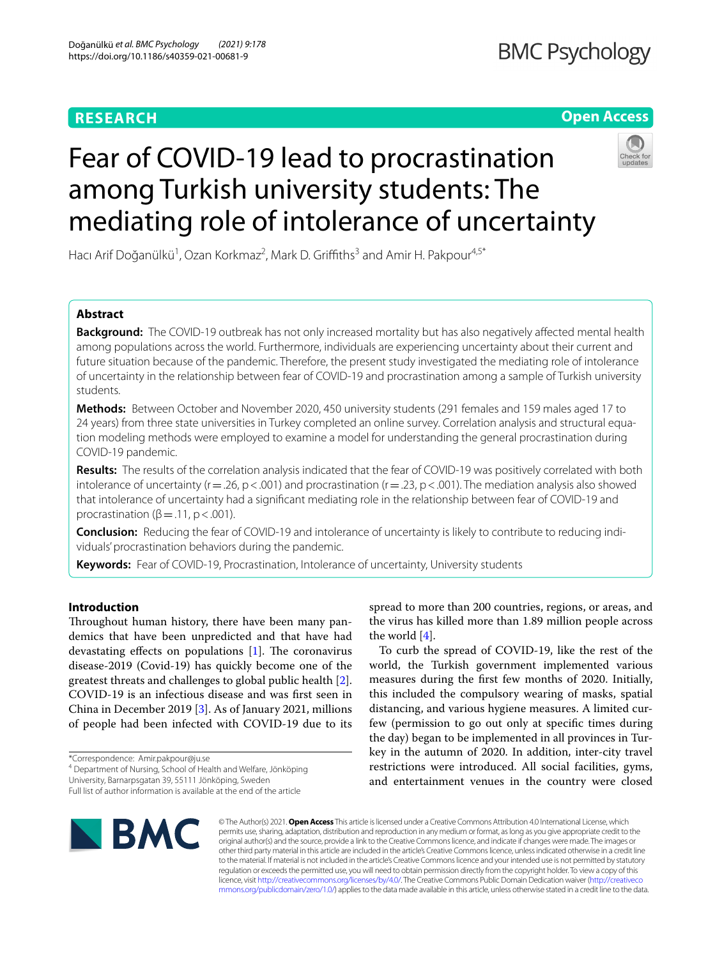# **RESEARCH**

# **Open Access**



# Fear of COVID-19 lead to procrastination among Turkish university students: The mediating role of intolerance of uncertainty

Hacı Arif Doğanülkü<sup>1</sup>, Ozan Korkmaz<sup>2</sup>, Mark D. Griffiths<sup>3</sup> and Amir H. Pakpour<sup>4,5\*</sup>

# **Abstract**

**Background:** The COVID-19 outbreak has not only increased mortality but has also negatively afected mental health among populations across the world. Furthermore, individuals are experiencing uncertainty about their current and future situation because of the pandemic. Therefore, the present study investigated the mediating role of intolerance of uncertainty in the relationship between fear of COVID-19 and procrastination among a sample of Turkish university students.

**Methods:** Between October and November 2020, 450 university students (291 females and 159 males aged 17 to 24 years) from three state universities in Turkey completed an online survey. Correlation analysis and structural equation modeling methods were employed to examine a model for understanding the general procrastination during COVID-19 pandemic.

**Results:** The results of the correlation analysis indicated that the fear of COVID-19 was positively correlated with both intolerance of uncertainty ( $r=.26$ ,  $p < .001$ ) and procrastination ( $r=.23$ ,  $p < .001$ ). The mediation analysis also showed that intolerance of uncertainty had a signifcant mediating role in the relationship between fear of COVID-19 and procrastination ( $β = .11$ ,  $p < .001$ ).

**Conclusion:** Reducing the fear of COVID-19 and intolerance of uncertainty is likely to contribute to reducing individuals' procrastination behaviors during the pandemic.

**Keywords:** Fear of COVID-19, Procrastination, Intolerance of uncertainty, University students

# **Introduction**

Throughout human history, there have been many pandemics that have been unpredicted and that have had devastating effects on populations  $[1]$  $[1]$ . The coronavirus disease-2019 (Covid-19) has quickly become one of the greatest threats and challenges to global public health [\[2](#page-6-1)]. COVID-19 is an infectious disease and was frst seen in China in December 2019 [[3\]](#page-6-2). As of January 2021, millions of people had been infected with COVID-19 due to its

\*Correspondence: Amir.pakpour@ju.se

4 Department of Nursing, School of Health and Welfare, Jönköping

University, Barnarpsgatan 39, 55111 Jönköping, Sweden

Full list of author information is available at the end of the article



spread to more than 200 countries, regions, or areas, and the virus has killed more than 1.89 million people across the world  $[4]$  $[4]$ .

To curb the spread of COVID-19, like the rest of the world, the Turkish government implemented various measures during the frst few months of 2020. Initially, this included the compulsory wearing of masks, spatial distancing, and various hygiene measures. A limited curfew (permission to go out only at specifc times during the day) began to be implemented in all provinces in Turkey in the autumn of 2020. In addition, inter-city travel restrictions were introduced. All social facilities, gyms, and entertainment venues in the country were closed

© The Author(s) 2021. **Open Access** This article is licensed under a Creative Commons Attribution 4.0 International License, which permits use, sharing, adaptation, distribution and reproduction in any medium or format, as long as you give appropriate credit to the original author(s) and the source, provide a link to the Creative Commons licence, and indicate if changes were made. The images or other third party material in this article are included in the article's Creative Commons licence, unless indicated otherwise in a credit line to the material. If material is not included in the article's Creative Commons licence and your intended use is not permitted by statutory regulation or exceeds the permitted use, you will need to obtain permission directly from the copyright holder. To view a copy of this licence, visit [http://creativecommons.org/licenses/by/4.0/.](http://creativecommons.org/licenses/by/4.0/) The Creative Commons Public Domain Dedication waiver ([http://creativeco](http://creativecommons.org/publicdomain/zero/1.0/) [mmons.org/publicdomain/zero/1.0/](http://creativecommons.org/publicdomain/zero/1.0/)) applies to the data made available in this article, unless otherwise stated in a credit line to the data.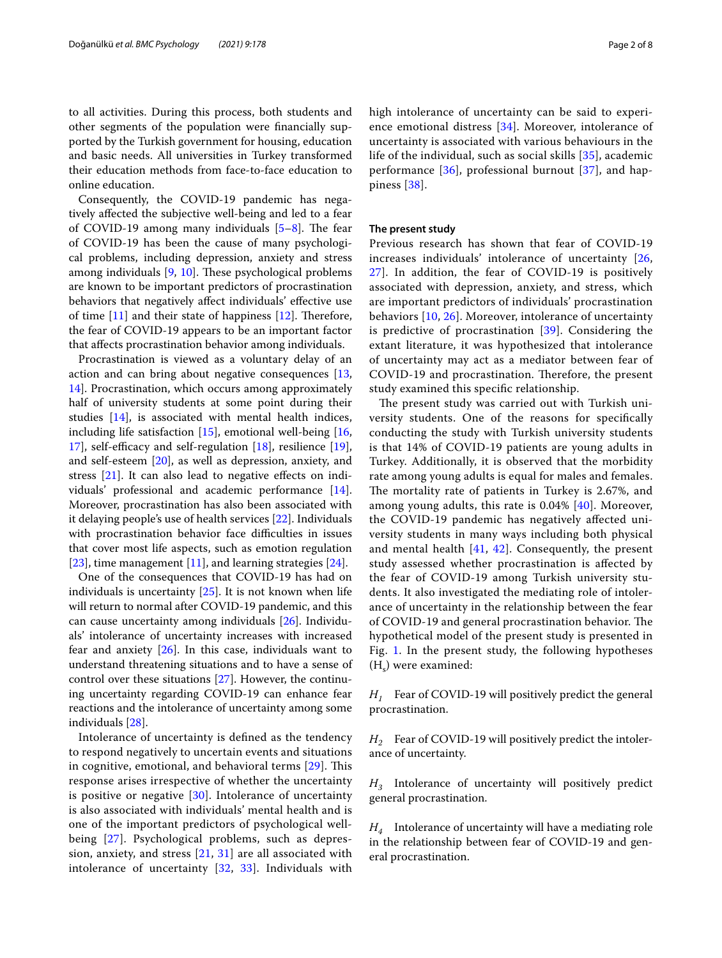to all activities. During this process, both students and other segments of the population were fnancially supported by the Turkish government for housing, education and basic needs. All universities in Turkey transformed their education methods from face-to-face education to online education.

Consequently, the COVID-19 pandemic has negatively afected the subjective well-being and led to a fear of COVID-19 among many individuals  $[5-8]$  $[5-8]$ . The fear of COVID-19 has been the cause of many psychological problems, including depression, anxiety and stress among individuals  $[9, 10]$  $[9, 10]$  $[9, 10]$  $[9, 10]$ . These psychological problems are known to be important predictors of procrastination behaviors that negatively affect individuals' effective use of time  $[11]$  $[11]$  and their state of happiness  $[12]$  $[12]$ . Therefore, the fear of COVID-19 appears to be an important factor that afects procrastination behavior among individuals.

Procrastination is viewed as a voluntary delay of an action and can bring about negative consequences [\[13](#page-6-10), [14\]](#page-6-11). Procrastination, which occurs among approximately half of university students at some point during their studies [\[14](#page-6-11)], is associated with mental health indices, including life satisfaction [[15\]](#page-6-12), emotional well-being [\[16](#page-6-13), [17\]](#page-6-14), self-efficacy and self-regulation  $[18]$  $[18]$ , resilience  $[19]$  $[19]$ , and self-esteem [\[20](#page-6-17)], as well as depression, anxiety, and stress [[21\]](#page-6-18). It can also lead to negative efects on individuals' professional and academic performance [\[14](#page-6-11)]. Moreover, procrastination has also been associated with it delaying people's use of health services [[22](#page-6-19)]. Individuals with procrastination behavior face difficulties in issues that cover most life aspects, such as emotion regulation [[23\]](#page-6-20), time management [[11\]](#page-6-8), and learning strategies [\[24\]](#page-6-21).

One of the consequences that COVID-19 has had on individuals is uncertainty [\[25](#page-6-22)]. It is not known when life will return to normal after COVID-19 pandemic, and this can cause uncertainty among individuals [[26\]](#page-6-23). Individuals' intolerance of uncertainty increases with increased fear and anxiety  $[26]$ . In this case, individuals want to understand threatening situations and to have a sense of control over these situations [[27\]](#page-6-24). However, the continuing uncertainty regarding COVID-19 can enhance fear reactions and the intolerance of uncertainty among some individuals [[28\]](#page-6-25).

Intolerance of uncertainty is defned as the tendency to respond negatively to uncertain events and situations in cognitive, emotional, and behavioral terms  $[29]$  $[29]$ . This response arises irrespective of whether the uncertainty is positive or negative [[30](#page-6-27)]. Intolerance of uncertainty is also associated with individuals' mental health and is one of the important predictors of psychological wellbeing [[27\]](#page-6-24). Psychological problems, such as depression, anxiety, and stress [[21](#page-6-18), [31\]](#page-7-0) are all associated with intolerance of uncertainty [\[32,](#page-7-1) [33](#page-7-2)]. Individuals with high intolerance of uncertainty can be said to experience emotional distress [[34](#page-7-3)]. Moreover, intolerance of uncertainty is associated with various behaviours in the life of the individual, such as social skills [[35\]](#page-7-4), academic performance [[36\]](#page-7-5), professional burnout [[37](#page-7-6)], and happiness [[38\]](#page-7-7).

## **The present study**

Previous research has shown that fear of COVID-19 increases individuals' intolerance of uncertainty [\[26](#page-6-23), [27\]](#page-6-24). In addition, the fear of COVID-19 is positively associated with depression, anxiety, and stress, which are important predictors of individuals' procrastination behaviors [[10](#page-6-7), [26](#page-6-23)]. Moreover, intolerance of uncertainty is predictive of procrastination [[39\]](#page-7-8). Considering the extant literature, it was hypothesized that intolerance of uncertainty may act as a mediator between fear of COVID-19 and procrastination. Therefore, the present study examined this specifc relationship.

The present study was carried out with Turkish university students. One of the reasons for specifcally conducting the study with Turkish university students is that 14% of COVID-19 patients are young adults in Turkey. Additionally, it is observed that the morbidity rate among young adults is equal for males and females. The mortality rate of patients in Turkey is 2.67%, and among young adults, this rate is  $0.04\%$  [ $40$ ]. Moreover, the COVID-19 pandemic has negatively afected university students in many ways including both physical and mental health  $[41, 42]$  $[41, 42]$  $[41, 42]$  $[41, 42]$ . Consequently, the present study assessed whether procrastination is afected by the fear of COVID-19 among Turkish university students. It also investigated the mediating role of intolerance of uncertainty in the relationship between the fear of COVID-19 and general procrastination behavior. The hypothetical model of the present study is presented in Fig. [1](#page-2-0). In the present study, the following hypotheses  $(H<sub>s</sub>)$  were examined:

*H1* Fear of COVID-19 will positively predict the general procrastination.

*H2* Fear of COVID-19 will positively predict the intolerance of uncertainty.

*H3* Intolerance of uncertainty will positively predict general procrastination.

*H4* Intolerance of uncertainty will have a mediating role in the relationship between fear of COVID-19 and general procrastination.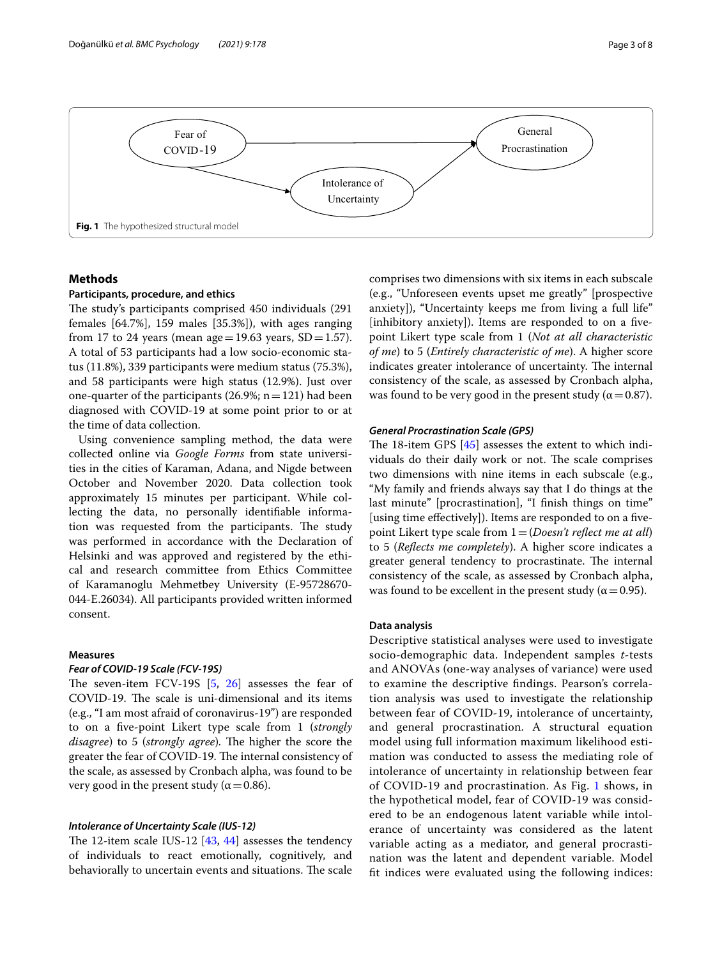

# <span id="page-2-0"></span>**Methods**

## **Participants, procedure, and ethics**

The study's participants comprised 450 individuals (291) females [64.7%], 159 males [35.3%]), with ages ranging from 17 to 24 years (mean age = 19.63 years,  $SD = 1.57$ ). A total of 53 participants had a low socio-economic status (11.8%), 339 participants were medium status (75.3%), and 58 participants were high status (12.9%). Just over one-quarter of the participants (26.9%;  $n=121$ ) had been diagnosed with COVID-19 at some point prior to or at the time of data collection.

Using convenience sampling method, the data were collected online via *Google Forms* from state universities in the cities of Karaman, Adana, and Nigde between October and November 2020. Data collection took approximately 15 minutes per participant. While collecting the data, no personally identifable information was requested from the participants. The study was performed in accordance with the Declaration of Helsinki and was approved and registered by the ethical and research committee from Ethics Committee of Karamanoglu Mehmetbey University (E-95728670- 044-E.26034). All participants provided written informed consent.

# **Measures**

#### *Fear of COVID‑19 Scale (FCV‑19S)*

The seven-item FCV-19S  $[5, 26]$  $[5, 26]$  $[5, 26]$  $[5, 26]$  $[5, 26]$  assesses the fear of COVID-19. The scale is uni-dimensional and its items (e.g., "I am most afraid of coronavirus-19") are responded to on a fve-point Likert type scale from 1 (*strongly disagree*) to 5 (*strongly agree*). The higher the score the greater the fear of COVID-19. The internal consistency of the scale, as assessed by Cronbach alpha, was found to be very good in the present study ( $\alpha$  = 0.86).

# *Intolerance of Uncertainty Scale (IUS‑12)*

The 12-item scale IUS-12  $[43, 44]$  $[43, 44]$  $[43, 44]$  $[43, 44]$  assesses the tendency of individuals to react emotionally, cognitively, and behaviorally to uncertain events and situations. The scale comprises two dimensions with six items in each subscale (e.g., "Unforeseen events upset me greatly" [prospective anxiety]), "Uncertainty keeps me from living a full life" [inhibitory anxiety]). Items are responded to on a fivepoint Likert type scale from 1 (*Not at all characteristic of me*) to 5 (*Entirely characteristic of me*). A higher score indicates greater intolerance of uncertainty. The internal consistency of the scale, as assessed by Cronbach alpha, was found to be very good in the present study ( $\alpha$  = 0.87).

#### *General Procrastination Scale (GPS)*

The 18-item GPS  $[45]$  $[45]$  assesses the extent to which individuals do their daily work or not. The scale comprises two dimensions with nine items in each subscale (e.g., "My family and friends always say that I do things at the last minute" [procrastination], "I finish things on time" [using time effectively]). Items are responded to on a fivepoint Likert type scale from 1=(*Doesn't refect me at all*) to 5 (*Refects me completely*). A higher score indicates a greater general tendency to procrastinate. The internal consistency of the scale, as assessed by Cronbach alpha, was found to be excellent in the present study ( $\alpha$  = 0.95).

# **Data analysis**

Descriptive statistical analyses were used to investigate socio-demographic data. Independent samples *t*-tests and ANOVAs (one-way analyses of variance) were used to examine the descriptive fndings. Pearson's correlation analysis was used to investigate the relationship between fear of COVID-19, intolerance of uncertainty, and general procrastination. A structural equation model using full information maximum likelihood estimation was conducted to assess the mediating role of intolerance of uncertainty in relationship between fear of COVID-19 and procrastination. As Fig. [1](#page-2-0) shows, in the hypothetical model, fear of COVID-19 was considered to be an endogenous latent variable while intolerance of uncertainty was considered as the latent variable acting as a mediator, and general procrastination was the latent and dependent variable. Model ft indices were evaluated using the following indices: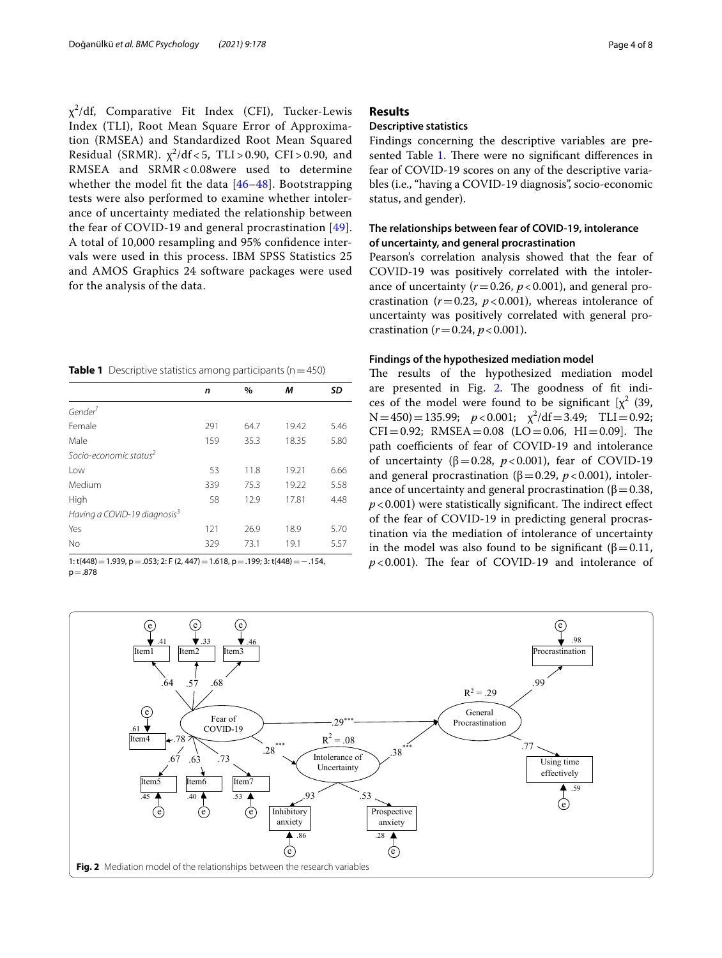$\chi^2$ /df, Comparative Fit Index (CFI), Tucker-Lewis Index (TLI), Root Mean Square Error of Approximation (RMSEA) and Standardized Root Mean Squared Residual (SRMR).  $\chi^2/\mathrm{df} < 5$ , TLI>0.90, CFI>0.90, and RMSEA and SRMR< 0.08were used to determine whether the model fit the data  $[46-48]$  $[46-48]$  $[46-48]$ . Bootstrapping tests were also performed to examine whether intolerance of uncertainty mediated the relationship between the fear of COVID-19 and general procrastination [[49\]](#page-7-17). A total of 10,000 resampling and 95% confdence intervals were used in this process. IBM SPSS Statistics 25 and AMOS Graphics 24 software packages were used for the analysis of the data.

<span id="page-3-0"></span>

|  | <b>Table 1</b> Descriptive statistics among participants ( $n = 450$ ) |  |  |  |
|--|------------------------------------------------------------------------|--|--|--|
|--|------------------------------------------------------------------------|--|--|--|

|                                          | n   | $\%$ | М     | SD   |
|------------------------------------------|-----|------|-------|------|
| Gender                                   |     |      |       |      |
| Female                                   | 291 | 64.7 | 19.42 | 5.46 |
| Male                                     | 159 | 35.3 | 18.35 | 5.80 |
| Socio-economic status <sup>2</sup>       |     |      |       |      |
| Low                                      | 53  | 11.8 | 19.21 | 6.66 |
| Medium                                   | 339 | 75.3 | 19.22 | 5.58 |
| High                                     | 58  | 12.9 | 17.81 | 4.48 |
| Having a COVID-19 diagnosis <sup>3</sup> |     |      |       |      |
| Yes                                      | 121 | 26.9 | 18.9  | 5.70 |
| <b>No</b>                                | 329 | 73.1 | 19.1  | 5.57 |
|                                          |     |      |       |      |

1: t(448)=1.939, p=.053; 2: F (2, 447)=1.618, p=.199; 3: t(448)=−.154,  $p = .878$ 

# **Results**

# **Descriptive statistics**

Findings concerning the descriptive variables are pre-sented Table [1.](#page-3-0) There were no significant differences in fear of COVID-19 scores on any of the descriptive variables (i.e., "having a COVID-19 diagnosis", socio-economic status, and gender).

# **The relationships between fear of COVID‑19, intolerance of uncertainty, and general procrastination**

Pearson's correlation analysis showed that the fear of COVID-19 was positively correlated with the intolerance of uncertainty  $(r=0.26, p<0.001)$ , and general procrastination ( $r=0.23$ ,  $p<0.001$ ), whereas intolerance of uncertainty was positively correlated with general procrastination ( $r = 0.24$ ,  $p < 0.001$ ).

## **Findings of the hypothesized mediation model**

The results of the hypothesized mediation model are presented in Fig. [2.](#page-3-1) The goodness of fit indices of the model were found to be significant  $[\chi^2]$  (39,  $N=450$ ) = 135.99;  $p < 0.001$ ;  $\chi^2/df = 3.49$ ; TLI = 0.92;  $CFI = 0.92$ ; RMSEA = 0.08 (LO = 0.06, HI = 0.09). The path coefficients of fear of COVID-19 and intolerance of uncertainty ( $\beta$ =0.28, *p*<0.001), fear of COVID-19 and general procrastination ( $\beta$ =0.29, *p* <0.001), intolerance of uncertainty and general procrastination ( $\beta$  = 0.38,  $p$ <0.001) were statistically significant. The indirect effect of the fear of COVID-19 in predicting general procrastination via the mediation of intolerance of uncertainty in the model was also found to be significant (β = 0.11,  $p$ <0.001). The fear of COVID-19 and intolerance of

<span id="page-3-1"></span>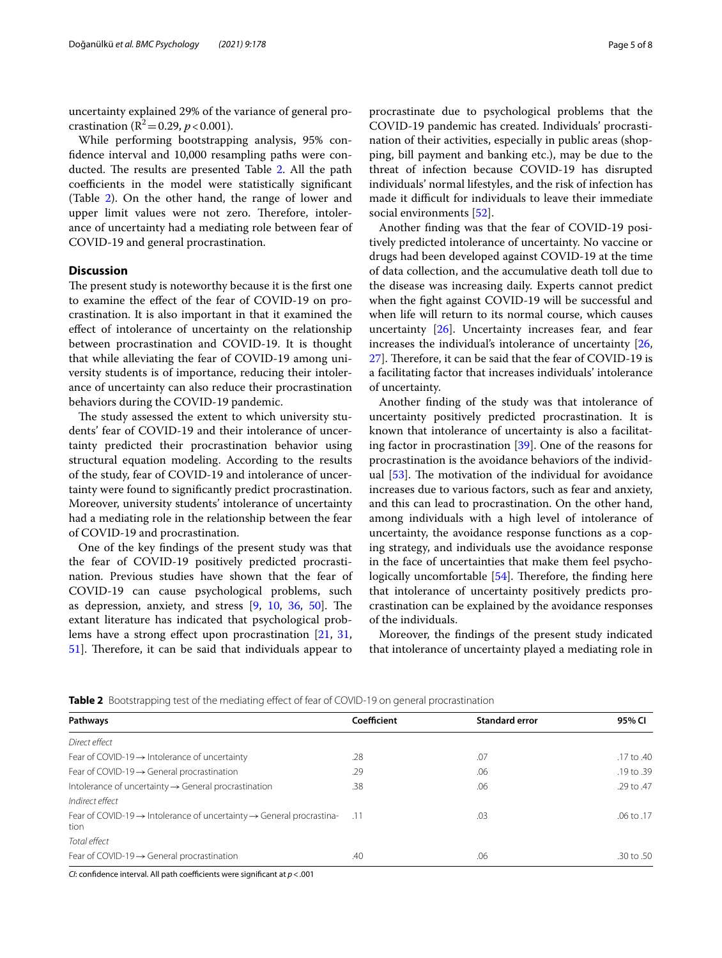uncertainty explained 29% of the variance of general procrastination ( $R^2$ =0.29, *p* < 0.001).

While performing bootstrapping analysis, 95% confdence interval and 10,000 resampling paths were con-ducted. The results are presented Table [2](#page-4-0). All the path coefficients in the model were statistically significant (Table [2\)](#page-4-0). On the other hand, the range of lower and upper limit values were not zero. Therefore, intolerance of uncertainty had a mediating role between fear of COVID-19 and general procrastination.

# **Discussion**

The present study is noteworthy because it is the first one to examine the efect of the fear of COVID-19 on procrastination. It is also important in that it examined the efect of intolerance of uncertainty on the relationship between procrastination and COVID-19. It is thought that while alleviating the fear of COVID-19 among university students is of importance, reducing their intolerance of uncertainty can also reduce their procrastination behaviors during the COVID-19 pandemic.

The study assessed the extent to which university students' fear of COVID-19 and their intolerance of uncertainty predicted their procrastination behavior using structural equation modeling. According to the results of the study, fear of COVID-19 and intolerance of uncertainty were found to signifcantly predict procrastination. Moreover, university students' intolerance of uncertainty had a mediating role in the relationship between the fear of COVID-19 and procrastination.

One of the key fndings of the present study was that the fear of COVID-19 positively predicted procrastination. Previous studies have shown that the fear of COVID-19 can cause psychological problems, such as depression, anxiety, and stress  $[9, 10, 36, 50]$  $[9, 10, 36, 50]$  $[9, 10, 36, 50]$  $[9, 10, 36, 50]$  $[9, 10, 36, 50]$  $[9, 10, 36, 50]$  $[9, 10, 36, 50]$  $[9, 10, 36, 50]$ . The extant literature has indicated that psychological prob-lems have a strong effect upon procrastination [\[21](#page-6-18), [31](#page-7-0), [51\]](#page-7-19). Therefore, it can be said that individuals appear to procrastinate due to psychological problems that the COVID-19 pandemic has created. Individuals' procrastination of their activities, especially in public areas (shopping, bill payment and banking etc.), may be due to the threat of infection because COVID-19 has disrupted individuals' normal lifestyles, and the risk of infection has made it difficult for individuals to leave their immediate social environments [\[52](#page-7-20)].

Another fnding was that the fear of COVID-19 positively predicted intolerance of uncertainty. No vaccine or drugs had been developed against COVID-19 at the time of data collection, and the accumulative death toll due to the disease was increasing daily. Experts cannot predict when the fght against COVID-19 will be successful and when life will return to its normal course, which causes uncertainty [[26](#page-6-23)]. Uncertainty increases fear, and fear increases the individual's intolerance of uncertainty [[26](#page-6-23), [27\]](#page-6-24). Therefore, it can be said that the fear of COVID-19 is a facilitating factor that increases individuals' intolerance of uncertainty.

Another fnding of the study was that intolerance of uncertainty positively predicted procrastination. It is known that intolerance of uncertainty is also a facilitating factor in procrastination [\[39](#page-7-8)]. One of the reasons for procrastination is the avoidance behaviors of the individual  $[53]$  $[53]$ . The motivation of the individual for avoidance increases due to various factors, such as fear and anxiety, and this can lead to procrastination. On the other hand, among individuals with a high level of intolerance of uncertainty, the avoidance response functions as a coping strategy, and individuals use the avoidance response in the face of uncertainties that make them feel psychologically uncomfortable  $[54]$  $[54]$ . Therefore, the finding here that intolerance of uncertainty positively predicts procrastination can be explained by the avoidance responses of the individuals.

Moreover, the fndings of the present study indicated that intolerance of uncertainty played a mediating role in

<span id="page-4-0"></span>

|  |  | Table 2 Bootstrapping test of the mediating effect of fear of COVID-19 on general procrastination |  |
|--|--|---------------------------------------------------------------------------------------------------|--|
|  |  |                                                                                                   |  |

| Pathways                                                                                             | Coefficient | <b>Standard error</b> | 95% CI         |
|------------------------------------------------------------------------------------------------------|-------------|-----------------------|----------------|
| Direct effect                                                                                        |             |                       |                |
| Fear of COVID-19 $\rightarrow$ Intolerance of uncertainty                                            | .28         | .07                   | .17 to .40     |
| Fear of COVID-19 $\rightarrow$ General procrastination                                               | .29         | .06                   | $.19$ to $.39$ |
| Intolerance of uncertainty $\rightarrow$ General procrastination                                     | .38         | .06                   | .29 to .47     |
| Indirect effect                                                                                      |             |                       |                |
| Fear of COVID-19 $\rightarrow$ Intolerance of uncertainty $\rightarrow$ General procrastina-<br>tion | $-.11$      | .03                   | $.06$ to $.17$ |
| Total effect                                                                                         |             |                       |                |
| Fear of COVID-19 $\rightarrow$ General procrastination                                               | .40         | .06                   | .30 to .50     |

*CI*: confidence interval. All path coefficients were significant at  $p < .001$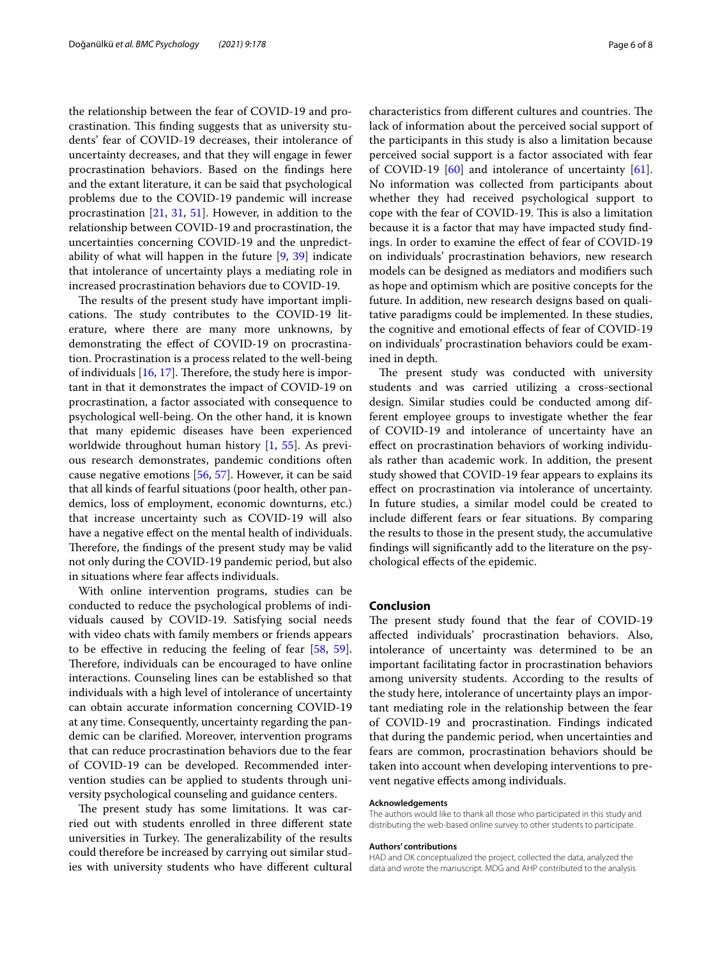the relationship between the fear of COVID-19 and procrastination. This finding suggests that as university students' fear of COVID-19 decreases, their intolerance of uncertainty decreases, and that they will engage in fewer procrastination behaviors. Based on the fndings here and the extant literature, it can be said that psychological problems due to the COVID-19 pandemic will increase procrastination [\[21](#page-6-18), [31](#page-7-0), [51\]](#page-7-19). However, in addition to the relationship between COVID-19 and procrastination, the uncertainties concerning COVID-19 and the unpredictability of what will happen in the future [\[9](#page-6-6), [39](#page-7-8)] indicate that intolerance of uncertainty plays a mediating role in increased procrastination behaviors due to COVID-19.

The results of the present study have important implications. The study contributes to the COVID-19 literature, where there are many more unknowns, by demonstrating the efect of COVID-19 on procrastination. Procrastination is a process related to the well-being of individuals  $[16, 17]$  $[16, 17]$  $[16, 17]$ . Therefore, the study here is important in that it demonstrates the impact of COVID-19 on procrastination, a factor associated with consequence to psychological well-being. On the other hand, it is known that many epidemic diseases have been experienced worldwide throughout human history [[1,](#page-6-0) [55](#page-7-23)]. As previous research demonstrates, pandemic conditions often cause negative emotions [[56](#page-7-24), [57](#page-7-25)]. However, it can be said that all kinds of fearful situations (poor health, other pandemics, loss of employment, economic downturns, etc.) that increase uncertainty such as COVID-19 will also have a negative effect on the mental health of individuals. Therefore, the findings of the present study may be valid not only during the COVID-19 pandemic period, but also in situations where fear afects individuals.

With online intervention programs, studies can be conducted to reduce the psychological problems of individuals caused by COVID-19. Satisfying social needs with video chats with family members or friends appears to be efective in reducing the feeling of fear [[58,](#page-7-26) [59](#page-7-27)]. Therefore, individuals can be encouraged to have online interactions. Counseling lines can be established so that individuals with a high level of intolerance of uncertainty can obtain accurate information concerning COVID-19 at any time. Consequently, uncertainty regarding the pandemic can be clarifed. Moreover, intervention programs that can reduce procrastination behaviors due to the fear of COVID-19 can be developed. Recommended intervention studies can be applied to students through university psychological counseling and guidance centers.

The present study has some limitations. It was carried out with students enrolled in three diferent state universities in Turkey. The generalizability of the results could therefore be increased by carrying out similar studies with university students who have diferent cultural characteristics from different cultures and countries. The lack of information about the perceived social support of the participants in this study is also a limitation because perceived social support is a factor associated with fear of COVID-19 [[60\]](#page-7-28) and intolerance of uncertainty [\[61](#page-7-29)]. No information was collected from participants about whether they had received psychological support to cope with the fear of COVID-19. This is also a limitation because it is a factor that may have impacted study fndings. In order to examine the efect of fear of COVID-19 on individuals' procrastination behaviors, new research models can be designed as mediators and modifers such as hope and optimism which are positive concepts for the future. In addition, new research designs based on qualitative paradigms could be implemented. In these studies, the cognitive and emotional effects of fear of COVID-19 on individuals' procrastination behaviors could be examined in depth.

The present study was conducted with university students and was carried utilizing a cross-sectional design. Similar studies could be conducted among different employee groups to investigate whether the fear of COVID-19 and intolerance of uncertainty have an efect on procrastination behaviors of working individuals rather than academic work. In addition, the present study showed that COVID-19 fear appears to explains its efect on procrastination via intolerance of uncertainty. In future studies, a similar model could be created to include diferent fears or fear situations. By comparing the results to those in the present study, the accumulative fndings will signifcantly add to the literature on the psychological efects of the epidemic.

# **Conclusion**

The present study found that the fear of COVID-19 afected individuals' procrastination behaviors. Also, intolerance of uncertainty was determined to be an important facilitating factor in procrastination behaviors among university students. According to the results of the study here, intolerance of uncertainty plays an important mediating role in the relationship between the fear of COVID-19 and procrastination. Findings indicated that during the pandemic period, when uncertainties and fears are common, procrastination behaviors should be taken into account when developing interventions to prevent negative efects among individuals.

#### **Acknowledgements**

The authors would like to thank all those who participated in this study and distributing the web-based online survey to other students to participate.

#### **Authors' contributions**

HAD and OK conceptualized the project, collected the data, analyzed the data and wrote the manuscript. MDG and AHP contributed to the analysis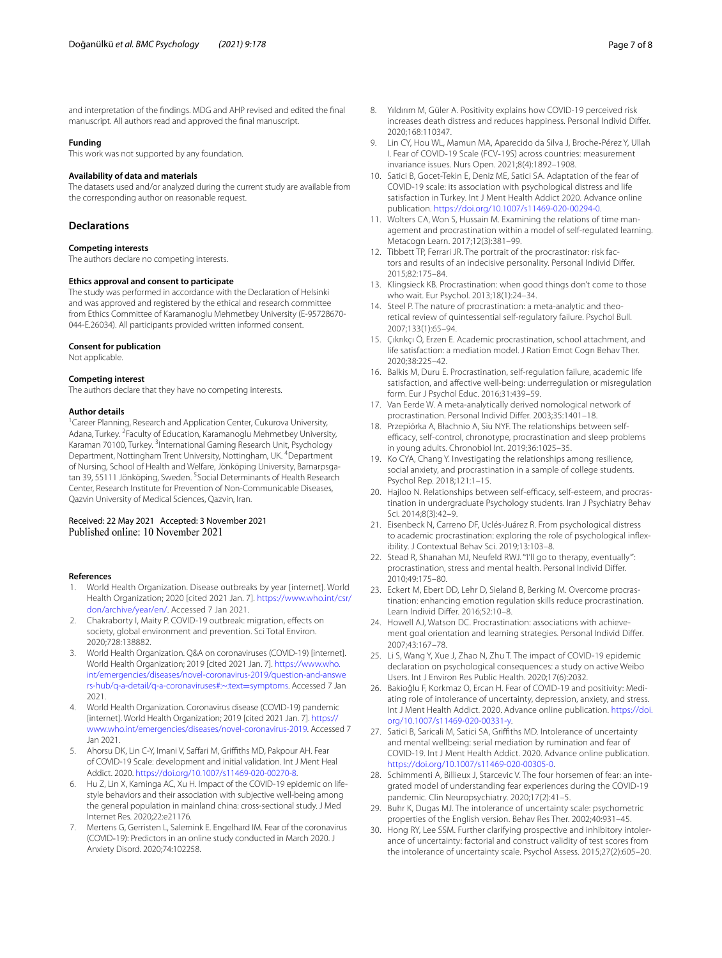manuscript. All authors read and approved the fnal manuscript.

# **Funding**

This work was not supported by any foundation.

#### **Availability of data and materials**

The datasets used and/or analyzed during the current study are available from the corresponding author on reasonable request.

# **Declarations**

#### **Competing interests**

The authors declare no competing interests.

#### **Ethics approval and consent to participate**

The study was performed in accordance with the Declaration of Helsinki and was approved and registered by the ethical and research committee from Ethics Committee of Karamanoglu Mehmetbey University (E-95728670- 044-E.26034). All participants provided written informed consent.

# **Consent for publication**

Not applicable.

#### **Competing interest**

The authors declare that they have no competing interests.

#### **Author details**

<sup>1</sup> Career Planning, Research and Application Center, Cukurova University, Adana, Turkey. <sup>2</sup> Faculty of Education, Karamanoglu Mehmetbey University, Karaman 70100, Turkey. <sup>3</sup>International Gaming Research Unit, Psychology Department, Nottingham Trent University, Nottingham, UK. <sup>4</sup>Department of Nursing, School of Health and Welfare, Jönköping University, Barnarpsgatan 39, 55111 Jönköping, Sweden. <sup>5</sup> Social Determinants of Health Research Center, Research Institute for Prevention of Non-Communicable Diseases, Qazvin University of Medical Sciences, Qazvin, Iran.

#### Received: 22 May 2021 Accepted: 3 November 2021 Published online: 10 November 2021

#### **References**

- <span id="page-6-0"></span>1. World Health Organization. Disease outbreaks by year [internet]. World Health Organization; 2020 [cited 2021 Jan. 7]. [https://www.who.int/csr/](https://www.who.int/csr/don/archive/year/en/) [don/archive/year/en/](https://www.who.int/csr/don/archive/year/en/). Accessed 7 Jan 2021.
- <span id="page-6-1"></span>2. Chakraborty I, Maity P. COVID-19 outbreak: migration, efects on society, global environment and prevention. Sci Total Environ. 2020;728:138882.
- <span id="page-6-2"></span>3. World Health Organization. Q&A on coronaviruses (COVID-19) [internet]. World Health Organization; 2019 [cited 2021 Jan. 7]. [https://www.who.](https://www.who.int/emergencies/diseases/novel-coronavirus-2019/question-and-answers-hub/q-a-detail/q-a-coronaviruses#:~:text=symptoms) [int/emergencies/diseases/novel-coronavirus-2019/question-and-answe](https://www.who.int/emergencies/diseases/novel-coronavirus-2019/question-and-answers-hub/q-a-detail/q-a-coronaviruses#:~:text=symptoms) [rs-hub/q-a-detail/q-a-coronaviruses#:~:text](https://www.who.int/emergencies/diseases/novel-coronavirus-2019/question-and-answers-hub/q-a-detail/q-a-coronaviruses#:~:text=symptoms)=symptoms. Accessed 7 Jan 2021.
- <span id="page-6-3"></span>4. World Health Organization. Coronavirus disease (COVID-19) pandemic [internet]. World Health Organization; 2019 [cited 2021 Jan. 7]. [https://](https://www.who.int/emergencies/diseases/novel-coronavirus-2019) [www.who.int/emergencies/diseases/novel-coronavirus-2019](https://www.who.int/emergencies/diseases/novel-coronavirus-2019). Accessed 7 Jan 2021.
- <span id="page-6-4"></span>5. Ahorsu DK, Lin C-Y, Imani V, Saffari M, Griffiths MD, Pakpour AH. Fear of COVID-19 Scale: development and initial validation. Int J Ment Heal Addict. 2020. [https://doi.org/10.1007/s11469-020-00270-8.](https://doi.org/10.1007/s11469-020-00270-8)
- 6. Hu Z, Lin X, Kaminga AC, Xu H. Impact of the COVID-19 epidemic on lifestyle behaviors and their association with subjective well-being among the general population in mainland china: cross-sectional study. J Med Internet Res. 2020;22:e21176.
- 7. Mertens G, Gerristen L, Salemink E. Engelhard IM. Fear of the coronavirus (COVID‐19): Predictors in an online study conducted in March 2020. J Anxiety Disord. 2020;74:102258.
- <span id="page-6-5"></span>8. Yıldırım M, Güler A. Positivity explains how COVID-19 perceived risk increases death distress and reduces happiness. Personal Individ Difer. 2020;168:110347.
- <span id="page-6-6"></span>9. Lin CY, Hou WL, Mamun MA, Aparecido da Silva J, Broche-Pérez Y, Ullah I. Fear of COVID‐19 Scale (FCV‐19S) across countries: measurement invariance issues. Nurs Open. 2021;8(4):1892–1908.
- <span id="page-6-7"></span>10. Satici B, Gocet-Tekin E, Deniz ME, Satici SA. Adaptation of the fear of COVID-19 scale: its association with psychological distress and life satisfaction in Turkey. Int J Ment Health Addict 2020. Advance online publication. <https://doi.org/10.1007/s11469-020-00294-0>.
- <span id="page-6-8"></span>11. Wolters CA, Won S, Hussain M. Examining the relations of time management and procrastination within a model of self-regulated learning. Metacogn Learn. 2017;12(3):381–99.
- <span id="page-6-9"></span>12. Tibbett TP, Ferrari JR. The portrait of the procrastinator: risk factors and results of an indecisive personality. Personal Individ Difer. 2015;82:175–84.
- <span id="page-6-10"></span>13. Klingsieck KB. Procrastination: when good things don't come to those who wait. Eur Psychol. 2013;18(1):24–34.
- <span id="page-6-11"></span>14. Steel P. The nature of procrastination: a meta-analytic and theoretical review of quintessential self-regulatory failure. Psychol Bull. 2007;133(1):65–94.
- <span id="page-6-12"></span>15. Çıkrıkçı Ö, Erzen E. Academic procrastination, school attachment, and life satisfaction: a mediation model. J Ration Emot Cogn Behav Ther. 2020;38:225–42.
- <span id="page-6-13"></span>16. Balkis M, Duru E. Procrastination, self-regulation failure, academic life satisfaction, and afective well-being: underregulation or misregulation form. Eur J Psychol Educ. 2016;31:439–59.
- <span id="page-6-14"></span>17. Van Eerde W. A meta-analytically derived nomological network of procrastination. Personal Individ Difer. 2003;35:1401–18.
- <span id="page-6-15"></span>18. Przepiórka A, Błachnio A, Siu NYF. The relationships between selfefficacy, self-control, chronotype, procrastination and sleep problems in young adults. Chronobiol Int. 2019;36:1025–35.
- <span id="page-6-16"></span>19. Ko CYA, Chang Y. Investigating the relationships among resilience, social anxiety, and procrastination in a sample of college students. Psychol Rep. 2018;121:1–15.
- <span id="page-6-17"></span>20. Hajloo N. Relationships between self-efficacy, self-esteem, and procrastination in undergraduate Psychology students. Iran J Psychiatry Behav Sci. 2014;8(3):42–9.
- <span id="page-6-18"></span>21. Eisenbeck N, Carreno DF, Uclés-Juárez R. From psychological distress to academic procrastination: exploring the role of psychological infexibility. J Contextual Behav Sci. 2019;13:103–8.
- <span id="page-6-19"></span>22. Stead R, Shanahan MJ, Neufeld RWJ. "'I'll go to therapy, eventually"': procrastination, stress and mental health. Personal Individ Difer. 2010;49:175–80.
- <span id="page-6-20"></span>23. Eckert M, Ebert DD, Lehr D, Sieland B, Berking M. Overcome procrastination: enhancing emotion regulation skills reduce procrastination. Learn Individ Difer. 2016;52:10–8.
- <span id="page-6-21"></span>24. Howell AJ, Watson DC. Procrastination: associations with achievement goal orientation and learning strategies. Personal Individ Difer. 2007;43:167–78.
- <span id="page-6-22"></span>25. Li S, Wang Y, Xue J, Zhao N, Zhu T. The impact of COVID-19 epidemic declaration on psychological consequences: a study on active Weibo Users. Int J Environ Res Public Health. 2020;17(6):2032.
- <span id="page-6-23"></span>26. Bakioğlu F, Korkmaz O, Ercan H. Fear of COVID-19 and positivity: Mediating role of intolerance of uncertainty, depression, anxiety, and stress. Int J Ment Health Addict. 2020. Advance online publication. [https://doi.](https://doi.org/10.1007/s11469-020-00331-y) [org/10.1007/s11469-020-00331-y.](https://doi.org/10.1007/s11469-020-00331-y)
- <span id="page-6-24"></span>27. Satici B, Saricali M, Satici SA, Griffiths MD. Intolerance of uncertainty and mental wellbeing: serial mediation by rumination and fear of COVID-19. Int J Ment Health Addict. 2020. Advance online publication. [https://doi.org/10.1007/s11469-020-00305-0.](https://doi.org/10.1007/s11469-020-00305-0)
- <span id="page-6-25"></span>28. Schimmenti A, Billieux J, Starcevic V. The four horsemen of fear: an integrated model of understanding fear experiences during the COVID-19 pandemic. Clin Neuropsychiatry. 2020;17(2):41–5.
- <span id="page-6-26"></span>29. Buhr K, Dugas MJ. The intolerance of uncertainty scale: psychometric properties of the English version. Behav Res Ther. 2002;40:931–45.
- <span id="page-6-27"></span>30. Hong RY, Lee SSM. Further clarifying prospective and inhibitory intolerance of uncertainty: factorial and construct validity of test scores from the intolerance of uncertainty scale. Psychol Assess. 2015;27(2):605–20.